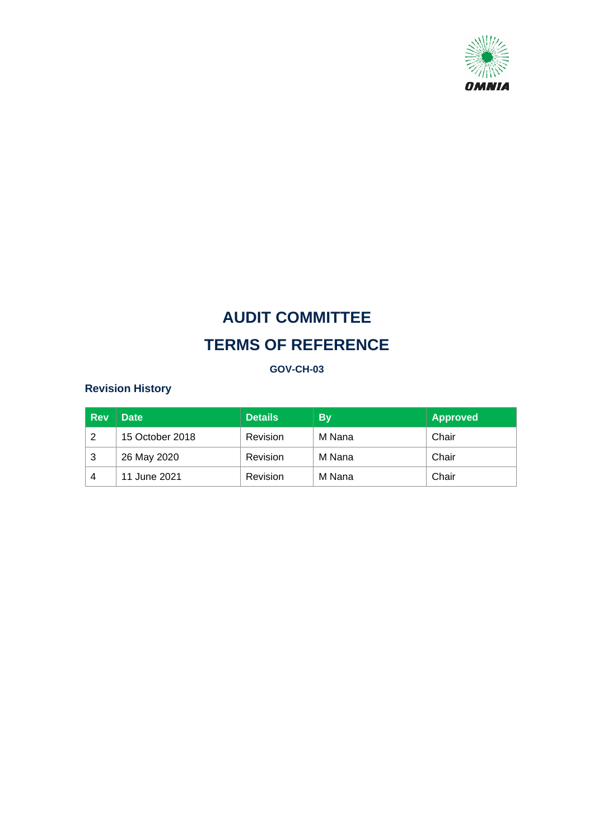

# **GOV-CH-03**

# **Revision History**

| <b>Rev</b> | <b>Date</b>     | <b>Details</b> | <b>By</b> | <b>Approved</b> |
|------------|-----------------|----------------|-----------|-----------------|
| 2          | 15 October 2018 | Revision       | M Nana    | Chair           |
| 3          | 26 May 2020     | Revision       | M Nana    | Chair           |
| 4          | 11 June 2021    | Revision       | M Nana    | Chair           |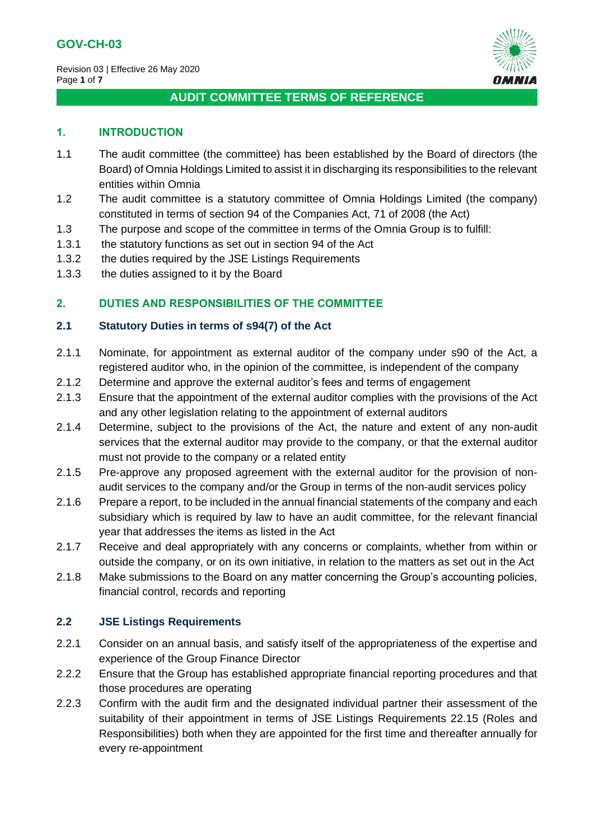

# **1. INTRODUCTION**

- 1.1 The audit committee (the committee) has been established by the Board of directors (the Board) of Omnia Holdings Limited to assist it in discharging its responsibilities to the relevant entities within Omnia
- 1.2 The audit committee is a statutory committee of Omnia Holdings Limited (the company) constituted in terms of section 94 of the Companies Act, 71 of 2008 (the Act)
- 1.3 The purpose and scope of the committee in terms of the Omnia Group is to fulfill:
- 1.3.1 the statutory functions as set out in section 94 of the Act
- 1.3.2 the duties required by the JSE Listings Requirements
- 1.3.3 the duties assigned to it by the Board

# **2. DUTIES AND RESPONSIBILITIES OF THE COMMITTEE**

## **2.1 Statutory Duties in terms of s94(7) of the Act**

- 2.1.1 Nominate, for appointment as external auditor of the company under s90 of the Act, a registered auditor who, in the opinion of the committee, is independent of the company
- 2.1.2 Determine and approve the external auditor's fees and terms of engagement
- 2.1.3 Ensure that the appointment of the external auditor complies with the provisions of the Act and any other legislation relating to the appointment of external auditors
- 2.1.4 Determine, subject to the provisions of the Act, the nature and extent of any non-audit services that the external auditor may provide to the company, or that the external auditor must not provide to the company or a related entity
- 2.1.5 Pre-approve any proposed agreement with the external auditor for the provision of nonaudit services to the company and/or the Group in terms of the non-audit services policy
- 2.1.6 Prepare a report, to be included in the annual financial statements of the company and each subsidiary which is required by law to have an audit committee, for the relevant financial year that addresses the items as listed in the Act
- 2.1.7 Receive and deal appropriately with any concerns or complaints, whether from within or outside the company, or on its own initiative, in relation to the matters as set out in the Act
- 2.1.8 Make submissions to the Board on any matter concerning the Group's accounting policies, financial control, records and reporting

# **2.2 JSE Listings Requirements**

- 2.2.1 Consider on an annual basis, and satisfy itself of the appropriateness of the expertise and experience of the Group Finance Director
- 2.2.2 Ensure that the Group has established appropriate financial reporting procedures and that those procedures are operating
- 2.2.3 Confirm with the audit firm and the designated individual partner their assessment of the suitability of their appointment in terms of JSE Listings Requirements 22.15 (Roles and Responsibilities) both when they are appointed for the first time and thereafter annually for every re-appointment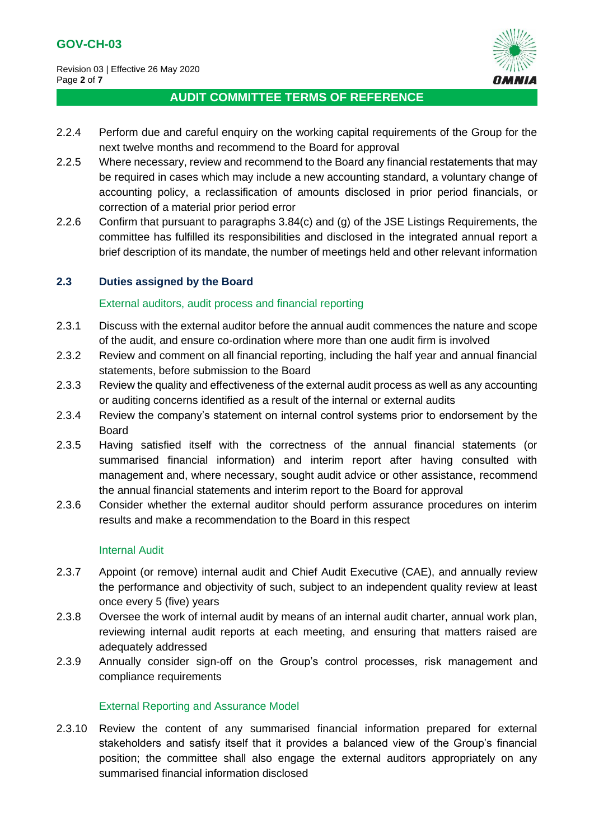

- 2.2.4 Perform due and careful enquiry on the working capital requirements of the Group for the next twelve months and recommend to the Board for approval
- 2.2.5 Where necessary, review and recommend to the Board any financial restatements that may be required in cases which may include a new accounting standard, a voluntary change of accounting policy, a reclassification of amounts disclosed in prior period financials, or correction of a material prior period error
- 2.2.6 Confirm that pursuant to paragraphs 3.84(c) and (g) of the JSE Listings Requirements, the committee has fulfilled its responsibilities and disclosed in the integrated annual report a brief description of its mandate, the number of meetings held and other relevant information

## **2.3 Duties assigned by the Board**

#### External auditors, audit process and financial reporting

- 2.3.1 Discuss with the external auditor before the annual audit commences the nature and scope of the audit, and ensure co-ordination where more than one audit firm is involved
- 2.3.2 Review and comment on all financial reporting, including the half year and annual financial statements, before submission to the Board
- 2.3.3 Review the quality and effectiveness of the external audit process as well as any accounting or auditing concerns identified as a result of the internal or external audits
- 2.3.4 Review the company's statement on internal control systems prior to endorsement by the Board
- 2.3.5 Having satisfied itself with the correctness of the annual financial statements (or summarised financial information) and interim report after having consulted with management and, where necessary, sought audit advice or other assistance, recommend the annual financial statements and interim report to the Board for approval
- 2.3.6 Consider whether the external auditor should perform assurance procedures on interim results and make a recommendation to the Board in this respect

#### Internal Audit

- 2.3.7 Appoint (or remove) internal audit and Chief Audit Executive (CAE), and annually review the performance and objectivity of such, subject to an independent quality review at least once every 5 (five) years
- 2.3.8 Oversee the work of internal audit by means of an internal audit charter, annual work plan, reviewing internal audit reports at each meeting, and ensuring that matters raised are adequately addressed
- 2.3.9 Annually consider sign-off on the Group's control processes, risk management and compliance requirements

#### External Reporting and Assurance Model

2.3.10 Review the content of any summarised financial information prepared for external stakeholders and satisfy itself that it provides a balanced view of the Group's financial position; the committee shall also engage the external auditors appropriately on any summarised financial information disclosed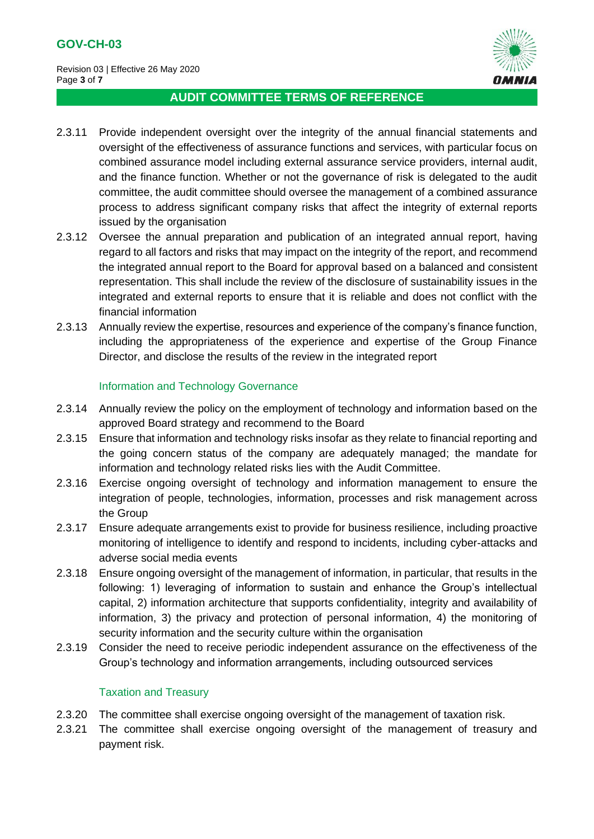

- 2.3.11 Provide independent oversight over the integrity of the annual financial statements and oversight of the effectiveness of assurance functions and services, with particular focus on combined assurance model including external assurance service providers, internal audit, and the finance function. Whether or not the governance of risk is delegated to the audit committee, the audit committee should oversee the management of a combined assurance process to address significant company risks that affect the integrity of external reports issued by the organisation
- 2.3.12 Oversee the annual preparation and publication of an integrated annual report, having regard to all factors and risks that may impact on the integrity of the report, and recommend the integrated annual report to the Board for approval based on a balanced and consistent representation. This shall include the review of the disclosure of sustainability issues in the integrated and external reports to ensure that it is reliable and does not conflict with the financial information
- 2.3.13 Annually review the expertise, resources and experience of the company's finance function, including the appropriateness of the experience and expertise of the Group Finance Director, and disclose the results of the review in the integrated report

## Information and Technology Governance

- 2.3.14 Annually review the policy on the employment of technology and information based on the approved Board strategy and recommend to the Board
- 2.3.15 Ensure that information and technology risks insofar as they relate to financial reporting and the going concern status of the company are adequately managed; the mandate for information and technology related risks lies with the Audit Committee.
- 2.3.16 Exercise ongoing oversight of technology and information management to ensure the integration of people, technologies, information, processes and risk management across the Group
- 2.3.17 Ensure adequate arrangements exist to provide for business resilience, including proactive monitoring of intelligence to identify and respond to incidents, including cyber-attacks and adverse social media events
- 2.3.18 Ensure ongoing oversight of the management of information, in particular, that results in the following: 1) leveraging of information to sustain and enhance the Group's intellectual capital, 2) information architecture that supports confidentiality, integrity and availability of information, 3) the privacy and protection of personal information, 4) the monitoring of security information and the security culture within the organisation
- 2.3.19 Consider the need to receive periodic independent assurance on the effectiveness of the Group's technology and information arrangements, including outsourced services

# Taxation and Treasury

- 2.3.20 The committee shall exercise ongoing oversight of the management of taxation risk.
- 2.3.21 The committee shall exercise ongoing oversight of the management of treasury and payment risk.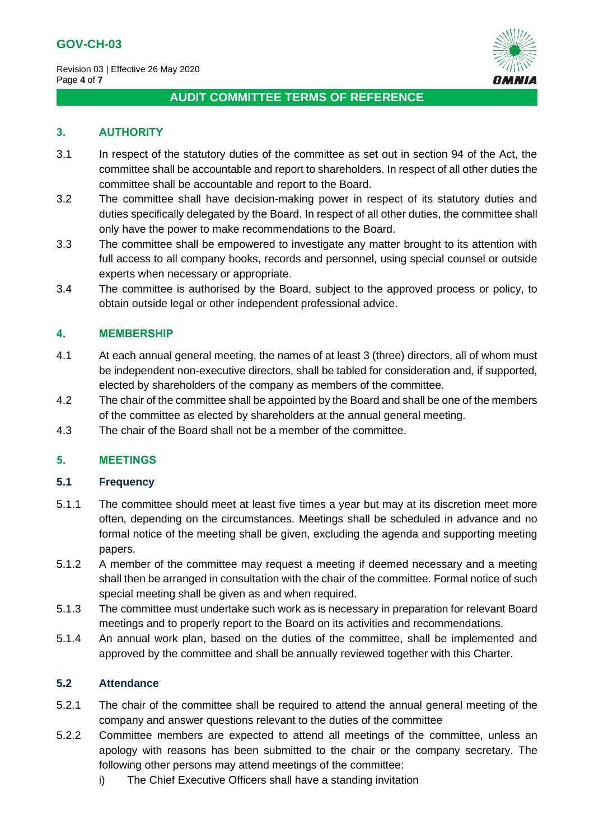

## **3. AUTHORITY**

- 3.1 In respect of the statutory duties of the committee as set out in section 94 of the Act, the committee shall be accountable and report to shareholders. In respect of all other duties the committee shall be accountable and report to the Board.
- 3.2 The committee shall have decision-making power in respect of its statutory duties and duties specifically delegated by the Board. In respect of all other duties, the committee shall only have the power to make recommendations to the Board.
- 3.3 The committee shall be empowered to investigate any matter brought to its attention with full access to all company books, records and personnel, using special counsel or outside experts when necessary or appropriate.
- 3.4 The committee is authorised by the Board, subject to the approved process or policy, to obtain outside legal or other independent professional advice.

#### **4. MEMBERSHIP**

- 4.1 At each annual general meeting, the names of at least 3 (three) directors, all of whom must be independent non-executive directors, shall be tabled for consideration and, if supported, elected by shareholders of the company as members of the committee.
- 4.2 The chair of the committee shall be appointed by the Board and shall be one of the members of the committee as elected by shareholders at the annual general meeting.
- 4.3 The chair of the Board shall not be a member of the committee.

#### **5. MEETINGS**

#### **5.1 Frequency**

- 5.1.1 The committee should meet at least five times a year but may at its discretion meet more often, depending on the circumstances. Meetings shall be scheduled in advance and no formal notice of the meeting shall be given, excluding the agenda and supporting meeting papers.
- 5.1.2 A member of the committee may request a meeting if deemed necessary and a meeting shall then be arranged in consultation with the chair of the committee. Formal notice of such special meeting shall be given as and when required.
- 5.1.3 The committee must undertake such work as is necessary in preparation for relevant Board meetings and to properly report to the Board on its activities and recommendations.
- 5.1.4 An annual work plan, based on the duties of the committee, shall be implemented and approved by the committee and shall be annually reviewed together with this Charter.

#### **5.2 Attendance**

- 5.2.1 The chair of the committee shall be required to attend the annual general meeting of the company and answer questions relevant to the duties of the committee
- 5.2.2 Committee members are expected to attend all meetings of the committee, unless an apology with reasons has been submitted to the chair or the company secretary. The following other persons may attend meetings of the committee:
	- i) The Chief Executive Officers shall have a standing invitation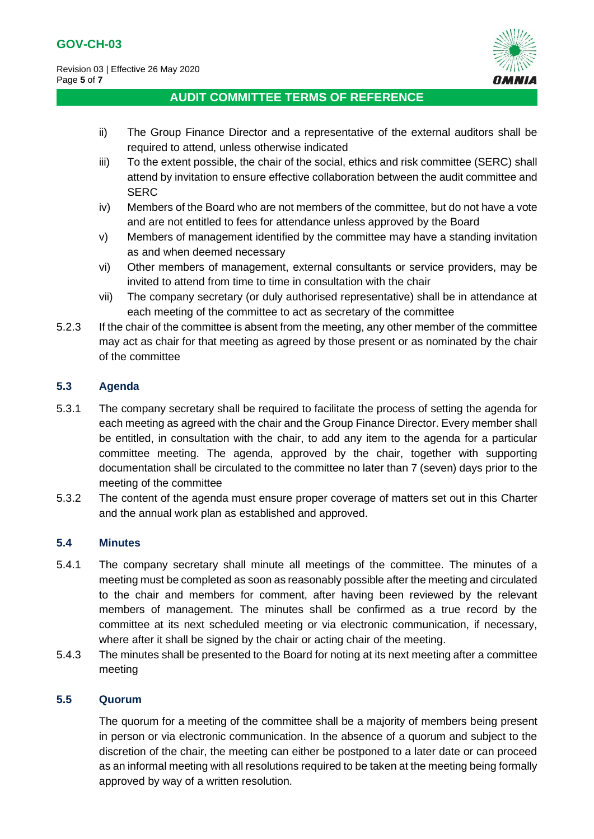

- ii) The Group Finance Director and a representative of the external auditors shall be required to attend, unless otherwise indicated
- iii) To the extent possible, the chair of the social, ethics and risk committee (SERC) shall attend by invitation to ensure effective collaboration between the audit committee and **SERC**
- iv) Members of the Board who are not members of the committee, but do not have a vote and are not entitled to fees for attendance unless approved by the Board
- v) Members of management identified by the committee may have a standing invitation as and when deemed necessary
- vi) Other members of management, external consultants or service providers, may be invited to attend from time to time in consultation with the chair
- vii) The company secretary (or duly authorised representative) shall be in attendance at each meeting of the committee to act as secretary of the committee
- 5.2.3 If the chair of the committee is absent from the meeting, any other member of the committee may act as chair for that meeting as agreed by those present or as nominated by the chair of the committee

# **5.3 Agenda**

- 5.3.1 The company secretary shall be required to facilitate the process of setting the agenda for each meeting as agreed with the chair and the Group Finance Director. Every member shall be entitled, in consultation with the chair, to add any item to the agenda for a particular committee meeting. The agenda, approved by the chair, together with supporting documentation shall be circulated to the committee no later than 7 (seven) days prior to the meeting of the committee
- 5.3.2 The content of the agenda must ensure proper coverage of matters set out in this Charter and the annual work plan as established and approved.

# **5.4 Minutes**

- 5.4.1 The company secretary shall minute all meetings of the committee. The minutes of a meeting must be completed as soon as reasonably possible after the meeting and circulated to the chair and members for comment, after having been reviewed by the relevant members of management. The minutes shall be confirmed as a true record by the committee at its next scheduled meeting or via electronic communication, if necessary, where after it shall be signed by the chair or acting chair of the meeting.
- 5.4.3 The minutes shall be presented to the Board for noting at its next meeting after a committee meeting

#### **5.5 Quorum**

The quorum for a meeting of the committee shall be a majority of members being present in person or via electronic communication. In the absence of a quorum and subject to the discretion of the chair, the meeting can either be postponed to a later date or can proceed as an informal meeting with all resolutions required to be taken at the meeting being formally approved by way of a written resolution.